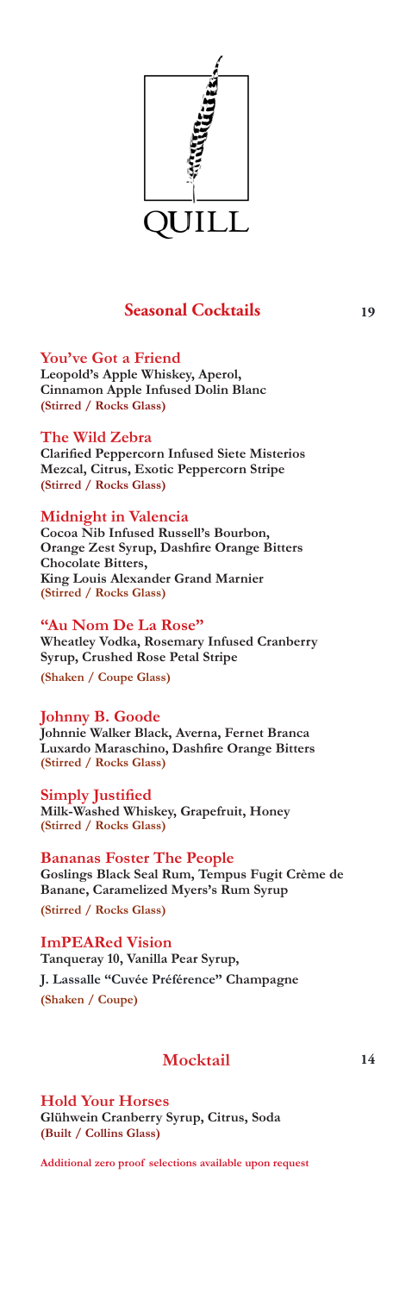

### **Seasonal Cocktails** 19

**You've Got a Friend Leopold's Apple Whiskey, Aperol, Cinnamon Apple Infused Dolin Blanc (Stirred / Rocks Glass)**

**The Wild Zebra Clarified Peppercorn Infused Siete Misterios Mezcal, Citrus, Exotic Peppercorn Stripe (Stirred / Rocks Glass)**

#### **Midnight in Valencia**

**Cocoa Nib Infused Russell's Bourbon, Orange Zest Syrup, Dashfire Orange Bitters Chocolate Bitters, King Louis Alexander Grand Marnier (Stirred / Rocks Glass)**

**"Au Nom De La Rose" Wheatley Vodka, Rosemary Infused Cranberry Syrup, Crushed Rose Petal Stripe**

**(Shaken / Coupe Glass)**

**Johnny B. Goode**

**Johnnie Walker Black, Averna, Fernet Branca Luxardo Maraschino, Dashfire Orange Bitters (Stirred / Rocks Glass)**

**Simply Justified Milk-Washed Whiskey, Grapefruit, Honey (Stirred / Rocks Glass)**

**Bananas Foster The People Goslings Black Seal Rum, Tempus Fugit Crème de Banane, Caramelized Myers's Rum Syrup (Stirred / Rocks Glass)**

**ImPEARed Vision Tanqueray 10, Vanilla Pear Syrup, J. Lassalle "Cuvée Préférence" Champagne (Shaken / Coupe)**

### **Mocktail**

**Hold Your Horses Glühwein Cranberry Syrup, Citrus, Soda (Built / Collins Glass)**

**Additional zero proof selections available upon request**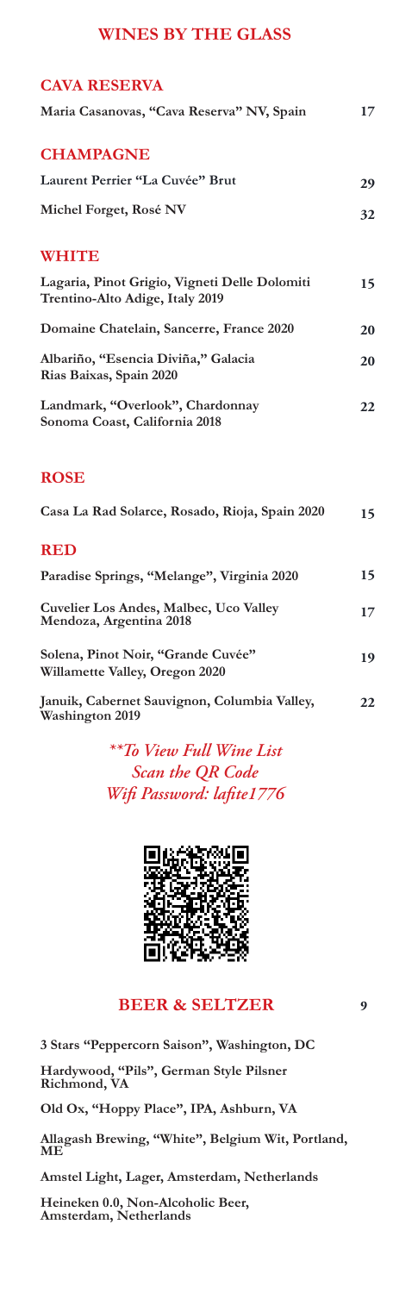## **WINES BY THE GLASS**

| <b>CAVA RESERVA</b>                                                              |    |
|----------------------------------------------------------------------------------|----|
| Maria Casanovas, "Cava Reserva" NV, Spain                                        | 17 |
| <b>CHAMPAGNE</b>                                                                 |    |
| Laurent Perrier "La Cuvée" Brut                                                  | 29 |
| Michel Forget, Rosé NV                                                           | 32 |
| <b>WHITE</b>                                                                     |    |
| Lagaria, Pinot Grigio, Vigneti Delle Dolomiti<br>Trentino-Alto Adige, Italy 2019 | 15 |
| Domaine Chatelain, Sancerre, France 2020                                         | 20 |
| Albariño, "Esencia Diviña," Galacia<br>Rias Baixas, Spain 2020                   | 20 |
| Landmark, "Overlook", Chardonnay<br>Sonoma Coast, California 2018                | 22 |
| <b>ROSE</b>                                                                      |    |
| Casa La Rad Solarce, Rosado, Rioja, Spain 2020                                   | 15 |
| <b>RED</b>                                                                       |    |
| Paradise Springs, "Melange", Virginia 2020                                       | 15 |
| Cuvelier Los Andes, Malbec, Uco Valley<br>Mendoza, Argentina 2018                | 17 |
| Solena, Pinot Noir, "Grande Cuvée"<br>Willamette Valley, Oregon 2020             | 19 |

**Januik, Cabernet Sauvignon, Columbia Valley, Washington 2019 22**

> *\*\*To View Full Wine List Scan the QR Code Wifi Password: lafite1776*



# **BEER & SELTZER**

**3 Stars "Peppercorn Saison", Washington, DC**

**Hardywood, "Pils", German Style Pilsner Richmond, VA** 

**Old Ox, "Hoppy Place", IPA, Ashburn, VA** 

**Allagash Brewing, "White", Belgium Wit, Portland, ME** 

**Amstel Light, Lager, Amsterdam, Netherlands** 

 **Heineken 0.0, Non-Alcoholic Beer, Amsterdam, Netherlands**

**9**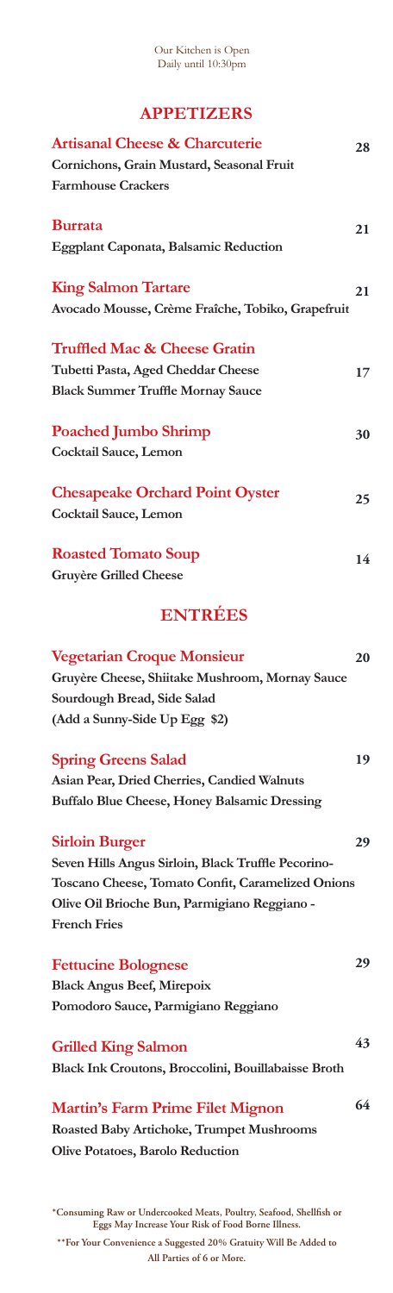#### Our Kitchen is Open Daily until 10:30pm

# **APPETIZERS**

| <b>Artisanal Cheese &amp; Charcuterie</b><br>Cornichons, Grain Mustard, Seasonal Fruit<br><b>Farmhouse Crackers</b>                                                                                     | 28 |
|---------------------------------------------------------------------------------------------------------------------------------------------------------------------------------------------------------|----|
| <b>Burrata</b><br><b>Eggplant Caponata, Balsamic Reduction</b>                                                                                                                                          | 21 |
| <b>King Salmon Tartare</b><br>Avocado Mousse, Crème Fraîche, Tobiko, Grapefruit                                                                                                                         | 21 |
| <b>Truffled Mac &amp; Cheese Gratin</b><br>Tubetti Pasta, Aged Cheddar Cheese<br><b>Black Summer Truffle Mornay Sauce</b>                                                                               | 17 |
| <b>Poached Jumbo Shrimp</b><br>Cocktail Sauce, Lemon                                                                                                                                                    | 30 |
| <b>Chesapeake Orchard Point Oyster</b><br>Cocktail Sauce, Lemon                                                                                                                                         | 25 |
| <b>Roasted Tomato Soup</b><br><b>Gruyère Grilled Cheese</b>                                                                                                                                             | 14 |
| <b>ENTRÉES</b>                                                                                                                                                                                          |    |
| <b>Vegetarian Croque Monsieur</b><br>Gruyère Cheese, Shiitake Mushroom, Mornay Sauce<br>Sourdough Bread, Side Salad<br>(Add a Sunny-Side Up Egg \$2)                                                    | 20 |
| <b>Spring Greens Salad</b><br>Asian Pear, Dried Cherries, Candied Walnuts<br><b>Buffalo Blue Cheese, Honey Balsamic Dressing</b>                                                                        | 19 |
| <b>Sirloin Burger</b><br>Seven Hills Angus Sirloin, Black Truffle Pecorino-<br>Toscano Cheese, Tomato Confit, Caramelized Onions<br>Olive Oil Brioche Bun, Parmigiano Reggiano -<br><b>French Fries</b> | 29 |
| <b>Fettucine Bolognese</b><br><b>Black Angus Beef, Mirepoix</b><br>Pomodoro Sauce, Parmigiano Reggiano                                                                                                  | 29 |
| <b>Grilled King Salmon</b><br>Black Ink Croutons, Broccolini, Bouillabaisse Broth                                                                                                                       | 43 |
| <b>Martin's Farm Prime Filet Mignon</b><br><b>Roasted Baby Artichoke, Trumpet Mushrooms</b><br>Olive Potatoes, Barolo Reduction                                                                         | 64 |

**\*Consuming Raw or Undercooked Meats, Poultry, Seafood, Shellfish or Eggs May Increase Your Risk of Food Borne Illness. \*\*For Your Convenience a Suggested 20% Gratuity Will Be Added to** 

**All Parties of 6 or More.**